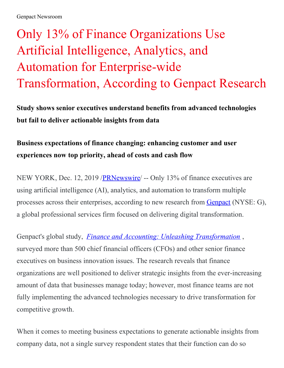## Only 13% of Finance Organizations Use Artificial Intelligence, Analytics, and Automation for Enterprise-wide Transformation, According to Genpact Research

**Study shows senior executives understand benefits from advanced technologies but fail to deliver actionable insights from data**

## **Business expectations of finance changing: enhancing customer and user experiences now top priority, ahead of costs and cash flow**

NEW YORK, Dec. 12, 2019 /**PRNewswire** -- Only 13% of finance executives are using artificial intelligence (AI), analytics, and automation to transform multiple processes across their enterprises, according to new research from [Genpact](https://c212.net/c/link/?t=0&l=en&o=2668638-1&h=163771057&u=https%3A%2F%2Fwww.genpact.com%2F%3Futm_source%3Dprrl%26utm_medium%3Dnswr%26utm_campaign%3Dmult_a_didi_prrl_nswr_cont_na_cxoctv_all_es-ft_x_all&a=Genpact) (NYSE: G), a global professional services firm focused on delivering digital transformation.

Genpact's global study, *Finance and Accounting: Unleashing [Transformation](https://c212.net/c/link/?t=0&l=en&o=2668638-1&h=294451348&u=https%3A%2F%2Fwww.genpact.com%2Flp%2Ffinance-and-accounting-unleashing-transformation%2F%3Futm_source%3Dprrl%26utm_medium%3Dnswr%26utm_campaign%3Dmult_a_didi_prrl_nswr_cont_na_cxoctv_all_es-ft_x_all&a=Finance+and+Accounting%3A+Unleashing+Transformation)* , surveyed more than 500 chief financial officers (CFOs) and other senior finance executives on business innovation issues. The research reveals that finance organizations are well positioned to deliver strategic insights from the ever-increasing amount of data that businesses manage today; however, most finance teams are not fully implementing the advanced technologies necessary to drive transformation for competitive growth.

When it comes to meeting business expectations to generate actionable insights from company data, not a single survey respondent states that their function can do so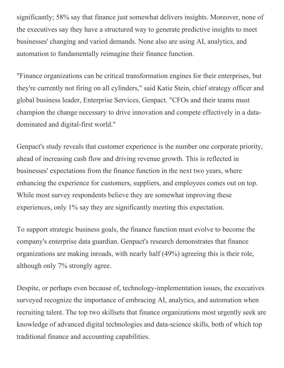significantly; 58% say that finance just somewhat delivers insights. Moreover, none of the executives say they have a structured way to generate predictive insights to meet businesses' changing and varied demands. None also are using AI, analytics, and automation to fundamentally reimagine their finance function.

"Finance organizations can be critical transformation engines for their enterprises, but they're currently not firing on all cylinders," said Katie Stein, chief strategy officer and global business leader, Enterprise Services, Genpact. "CFOs and their teams must champion the change necessary to drive innovation and compete effectively in a datadominated and digital-first world."

Genpact's study reveals that customer experience is the number one corporate priority, ahead of increasing cash flow and driving revenue growth. This is reflected in businesses' expectations from the finance function in the next two years, where enhancing the experience for customers, suppliers, and employees comes out on top. While most survey respondents believe they are somewhat improving these experiences, only 1% say they are significantly meeting this expectation.

To support strategic business goals, the finance function must evolve to become the company's enterprise data guardian. Genpact's research demonstrates that finance organizations are making inroads, with nearly half (49%) agreeing this is their role, although only 7% strongly agree.

Despite, or perhaps even because of, technology-implementation issues, the executives surveyed recognize the importance of embracing AI, analytics, and automation when recruiting talent. The top two skillsets that finance organizations most urgently seek are knowledge of advanced digital technologies and data-science skills, both of which top traditional finance and accounting capabilities.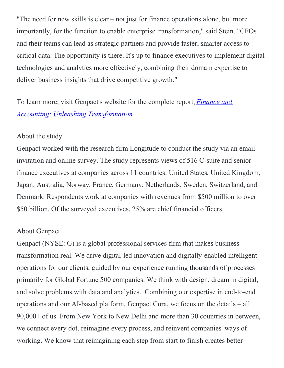"The need for new skills is clear – not just for finance operations alone, but more importantly, for the function to enable enterprise transformation," said Stein. "CFOs and their teams can lead as strategic partners and provide faster, smarter access to critical data. The opportunity is there. It's up to finance executives to implement digital technologies and analytics more effectively, combining their domain expertise to deliver business insights that drive competitive growth."

To learn more, visit Genpact's website for the complete report, *Finance and Accounting: Unleashing [Transformation](https://c212.net/c/link/?t=0&l=en&o=2668638-1&h=294451348&u=https%3A%2F%2Fwww.genpact.com%2Flp%2Ffinance-and-accounting-unleashing-transformation%2F%3Futm_source%3Dprrl%26utm_medium%3Dnswr%26utm_campaign%3Dmult_a_didi_prrl_nswr_cont_na_cxoctv_all_es-ft_x_all&a=Finance+and+Accounting%3A+Unleashing+Transformation)* .

## About the study

Genpact worked with the research firm Longitude to conduct the study via an email invitation and online survey. The study represents views of 516 C-suite and senior finance executives at companies across 11 countries: United States, United Kingdom, Japan, Australia, Norway, France, Germany, Netherlands, Sweden, Switzerland, and Denmark. Respondents work at companies with revenues from \$500 million to over \$50 billion. Of the surveyed executives, 25% are chief financial officers.

## About Genpact

Genpact (NYSE: G) is a global professional services firm that makes business transformation real. We drive digital-led innovation and digitally-enabled intelligent operations for our clients, guided by our experience running thousands of processes primarily for Global Fortune 500 companies. We think with design, dream in digital, and solve problems with data and analytics. Combining our expertise in end-to-end operations and our AI-based platform, Genpact Cora, we focus on the details – all 90,000+ of us. From New York to New Delhi and more than 30 countries in between, we connect every dot, reimagine every process, and reinvent companies' ways of working. We know that reimagining each step from start to finish creates better